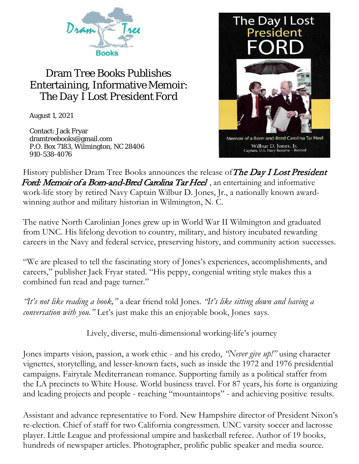

## Dram Tree Books Publishes Entertaining, Informative Memoir: *The Day I Lost President Ford*

August 1, 2021

Contact: Jack Fryar [dramtreebooks@gmail.com](mailto:dramtreebooks@gmail.com) P.O. Box 7183, Wilmington, NC 28406 910-538-4076



History publisher Dram Tree Books announces the release of The Day I Lost President Ford: Memoir of a Born-and-Bred Carolina Tar Heel, an entertaining and informative work-life story by retired Navy Captain Wilbur D. Jones, Jr., a nationally known awardwinning author and military historian in Wilmington, N. C.

The native North Carolinian Jones grew up in World War II Wilmington and graduated from UNC. His lifelong devotion to country, military, and history incubated rewarding careers in the Navy and federal service, preserving history, and community action successes.

"We are pleased to tell the fascinating story of Jones's experiences, accomplishments, and careers," publisher Jack Fryar stated. "His peppy, congenial writing style makes this a combined fun read and page turner."

*"It's not like reading a book,"* a dear friend told Jones*. "It's like sitting down and having a conversation with you."* Let's just make this an enjoyable book, Jones says.

Lively, diverse, multi-dimensional working-life's journey

Jones imparts vision, passion, a work ethic - and his credo, *"Never give up!"* using character vignettes, storytelling, and lesser-known facts, such as inside the 1972 and 1976 presidential campaigns. Fairytale Mediterranean romance. Supporting family as a political staffer from the LA precincts to White House. World business travel. For 87 years, his forte is organizing and leading projects and people - reaching "mountaintops" - and achieving positive results.

Assistant and advance representative to Ford. New Hampshire director of President Nixon's re-election. Chief of staff for two California congressmen. UNC varsity soccer and lacrosse player. Little League and professional umpire and basketball referee. Author of 19 books, hundreds of newspaper articles. Photographer, prolific public speaker and media source.